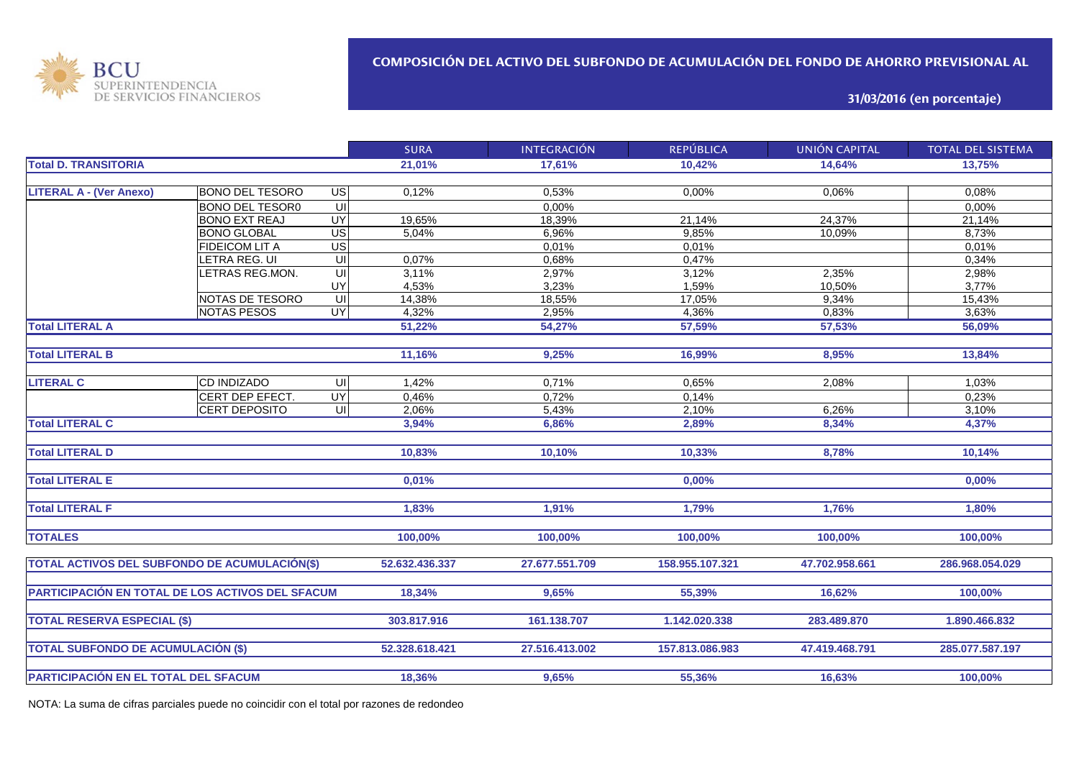

**31/03/2016 (en porcentaje)**

|                                                  |                        |                         | <b>SURA</b>    | <b>INTEGRACIÓN</b> | <b>REPÚBLICA</b> | UNIÓN CAPITAL  | <b>TOTAL DEL SISTEMA</b> |
|--------------------------------------------------|------------------------|-------------------------|----------------|--------------------|------------------|----------------|--------------------------|
| <b>Total D. TRANSITORIA</b>                      |                        |                         | 21,01%         | 17.61%             | 10,42%           | 14,64%         | 13,75%                   |
|                                                  |                        |                         |                |                    |                  |                |                          |
| <b>LITERAL A - (Ver Anexo)</b>                   | <b>BONO DEL TESORO</b> | US                      | 0,12%          | 0,53%              | 0,00%            | 0,06%          | 0,08%                    |
|                                                  | <b>BONO DEL TESOR0</b> | S                       |                | 0,00%              |                  |                | 0,00%                    |
|                                                  | <b>BONO EXT REAJ</b>   | UY                      | 19,65%         | 18,39%             | 21,14%           | 24,37%         | 21,14%                   |
|                                                  | <b>BONO GLOBAL</b>     | US                      | 5,04%          | 6,96%              | 9,85%            | 10,09%         | 8,73%                    |
|                                                  | FIDEICOM LIT A         | $\overline{US}$         |                | 0,01%              | 0,01%            |                | 0.01%                    |
|                                                  | ETRA REG. UI           | $\overline{\mathsf{U}}$ | 0,07%          | 0,68%              | 0,47%            |                | 0,34%                    |
|                                                  | LETRAS REG.MON.        | UI                      | 3,11%          | 2,97%              | 3,12%            | 2,35%          | 2,98%                    |
|                                                  |                        | UY                      | 4,53%          | 3,23%              | 1,59%            | 10,50%         | 3,77%                    |
|                                                  | NOTAS DE TESORO        | UI                      | 14,38%         | 18,55%             | 17,05%           | 9,34%          | 15,43%                   |
|                                                  | <b>NOTAS PESOS</b>     | <b>UY</b>               | 4,32%          | 2,95%              | 4,36%            | 0,83%          | 3,63%                    |
| <b>Total LITERAL A</b>                           |                        |                         | 51,22%         | 54,27%             | 57,59%           | 57,53%         | 56,09%                   |
|                                                  |                        |                         |                |                    |                  |                |                          |
| <b>Total LITERAL B</b>                           |                        |                         | 11,16%         | 9,25%              | 16,99%           | 8,95%          | 13,84%                   |
|                                                  |                        |                         |                |                    |                  |                |                          |
| <b>LITERAL C</b>                                 | <b>CD INDIZADO</b>     | UI                      | 1,42%          | 0,71%              | 0,65%            | 2,08%          | 1,03%                    |
|                                                  | CERT DEP EFECT.        | UY                      | 0,46%          | 0,72%              | 0,14%            |                | 0,23%                    |
|                                                  | <b>CERT DEPOSITO</b>   | UI                      | 2,06%          | 5,43%              | 2,10%            | 6,26%          | 3,10%                    |
| <b>Total LITERAL C</b>                           |                        |                         | 3,94%          | 6,86%              | 2,89%            | 8,34%          | 4,37%                    |
|                                                  |                        |                         |                |                    |                  |                |                          |
| <b>Total LITERAL D</b>                           |                        |                         | 10.83%         | 10,10%             | 10,33%           | 8,78%          | 10,14%                   |
|                                                  |                        |                         |                |                    |                  |                |                          |
| <b>Total LITERAL E</b>                           |                        |                         | 0.01%          |                    | 0,00%            |                | 0.00%                    |
|                                                  |                        |                         |                |                    |                  |                |                          |
| <b>Total LITERAL F</b>                           |                        |                         | 1,83%          | 1,91%              | 1,79%            | 1,76%          | 1,80%                    |
|                                                  |                        |                         |                |                    |                  |                |                          |
| <b>TOTALES</b>                                   |                        |                         | 100,00%        | 100,00%            | 100,00%          | 100,00%        | 100,00%                  |
|                                                  |                        |                         |                |                    |                  |                |                          |
| TOTAL ACTIVOS DEL SUBFONDO DE ACUMULACIÓN(\$)    |                        |                         | 52.632.436.337 | 27.677.551.709     | 158.955.107.321  | 47.702.958.661 | 286.968.054.029          |
|                                                  |                        |                         |                |                    |                  |                |                          |
| PARTICIPACIÓN EN TOTAL DE LOS ACTIVOS DEL SFACUM |                        |                         | 18,34%         | 9,65%              | 55,39%           | 16,62%         | 100,00%                  |
|                                                  |                        |                         |                |                    |                  |                |                          |
| <b>TOTAL RESERVA ESPECIAL (\$)</b>               |                        |                         | 303.817.916    | 161.138.707        | 1.142.020.338    | 283.489.870    | 1.890.466.832            |
|                                                  |                        |                         |                |                    |                  |                |                          |
| <b>TOTAL SUBFONDO DE ACUMULACIÓN (\$)</b>        |                        |                         | 52.328.618.421 | 27.516.413.002     | 157.813.086.983  | 47.419.468.791 | 285.077.587.197          |
|                                                  |                        |                         |                |                    |                  |                |                          |
| PARTICIPACIÓN EN EL TOTAL DEL SFACUM             |                        |                         | 18,36%         | 9,65%              | 55,36%           | 16,63%         | 100,00%                  |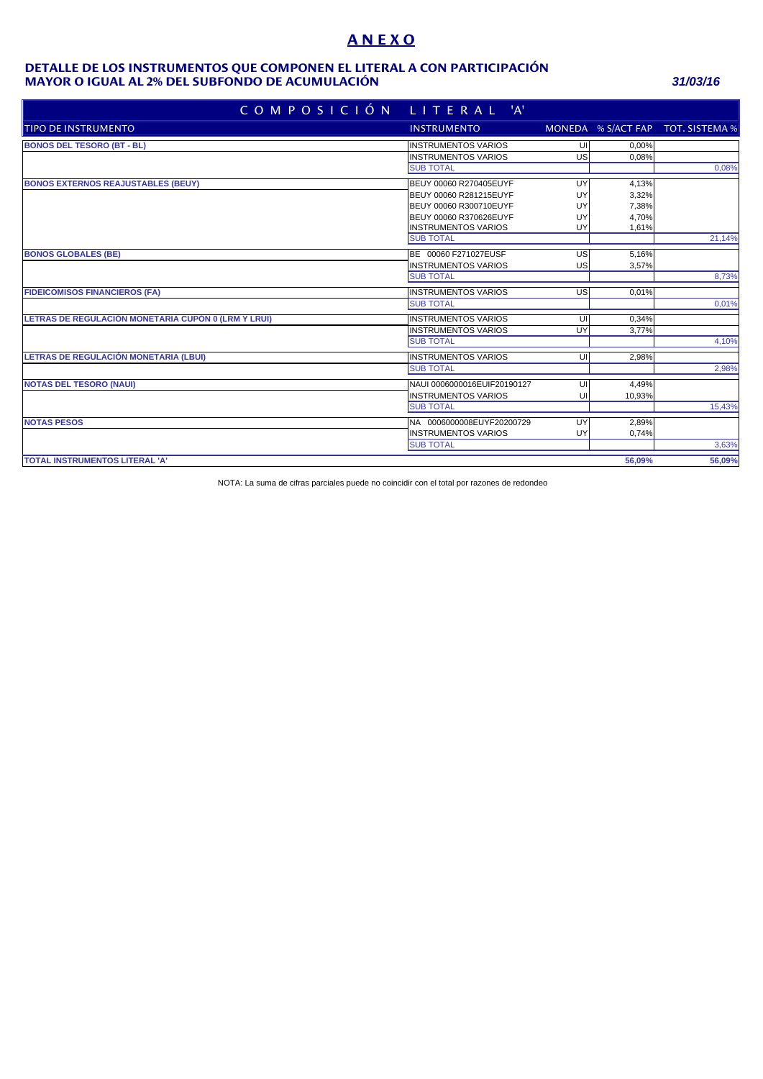# **A N E X O**

#### **MAYOR O IGUAL AL 2% DEL SUBFONDO DE ACUMULACIÓN** *31/03/16* **DETALLE DE LOS INSTRUMENTOS QUE COMPONEN EL LITERAL A CON PARTICIPACIÓN**

| COMPOSICIÓN                                         | LITERAL 'A'                 |    |        |                                   |
|-----------------------------------------------------|-----------------------------|----|--------|-----------------------------------|
| TIPO DE INSTRUMENTO                                 | <b>INSTRUMENTO</b>          |    |        | MONEDA % S/ACT FAP TOT. SISTEMA % |
| <b>BONOS DEL TESORO (BT - BL)</b>                   | <b>INSTRUMENTOS VARIOS</b>  | UI | 0.00%  |                                   |
|                                                     | <b>INSTRUMENTOS VARIOS</b>  | US | 0,08%  |                                   |
|                                                     | <b>SUB TOTAL</b>            |    |        | 0,08%                             |
| <b>BONOS EXTERNOS REAJUSTABLES (BEUY)</b>           | BEUY 00060 R270405EUYF      | UY | 4.13%  |                                   |
|                                                     | BEUY 00060 R281215EUYF      | UY | 3,32%  |                                   |
|                                                     | BEUY 00060 R300710EUYF      | UY | 7,38%  |                                   |
|                                                     | BEUY 00060 R370626EUYF      | UY | 4,70%  |                                   |
|                                                     | <b>INSTRUMENTOS VARIOS</b>  | UY | 1,61%  |                                   |
|                                                     | <b>SUB TOTAL</b>            |    |        | 21,14%                            |
| <b>BONOS GLOBALES (BE)</b>                          | BE 00060 F271027EUSF        | US | 5,16%  |                                   |
|                                                     | <b>INSTRUMENTOS VARIOS</b>  | US | 3,57%  |                                   |
|                                                     | <b>SUB TOTAL</b>            |    |        | 8,73%                             |
| <b>FIDEICOMISOS FINANCIEROS (FA)</b>                | <b>INSTRUMENTOS VARIOS</b>  | US | 0,01%  |                                   |
|                                                     | <b>SUB TOTAL</b>            |    |        | 0,01%                             |
| LETRAS DE REGULACIÓN MONETARIA CUPÓN 0 (LRM Y LRUI) | <b>INSTRUMENTOS VARIOS</b>  | UI | 0.34%  |                                   |
|                                                     | <b>INSTRUMENTOS VARIOS</b>  | UY | 3,77%  |                                   |
|                                                     | <b>SUB TOTAL</b>            |    |        | 4,10%                             |
| LETRAS DE REGULACIÓN MONETARIA (LBUI)               | <b>INSTRUMENTOS VARIOS</b>  | UI | 2,98%  |                                   |
|                                                     | <b>SUB TOTAL</b>            |    |        | 2,98%                             |
| <b>NOTAS DEL TESORO (NAUI)</b>                      | NAUI 0006000016EUIF20190127 | UI | 4,49%  |                                   |
|                                                     | <b>INSTRUMENTOS VARIOS</b>  | U  | 10,93% |                                   |
|                                                     | <b>SUB TOTAL</b>            |    |        | 15,43%                            |
| <b>NOTAS PESOS</b>                                  | NA 0006000008EUYF20200729   | UY | 2,89%  |                                   |
|                                                     | <b>INSTRUMENTOS VARIOS</b>  | UY | 0,74%  |                                   |
|                                                     | <b>SUB TOTAL</b>            |    |        | 3,63%                             |
| <b>TOTAL INSTRUMENTOS LITERAL 'A'</b>               |                             |    | 56.09% | 56,09%                            |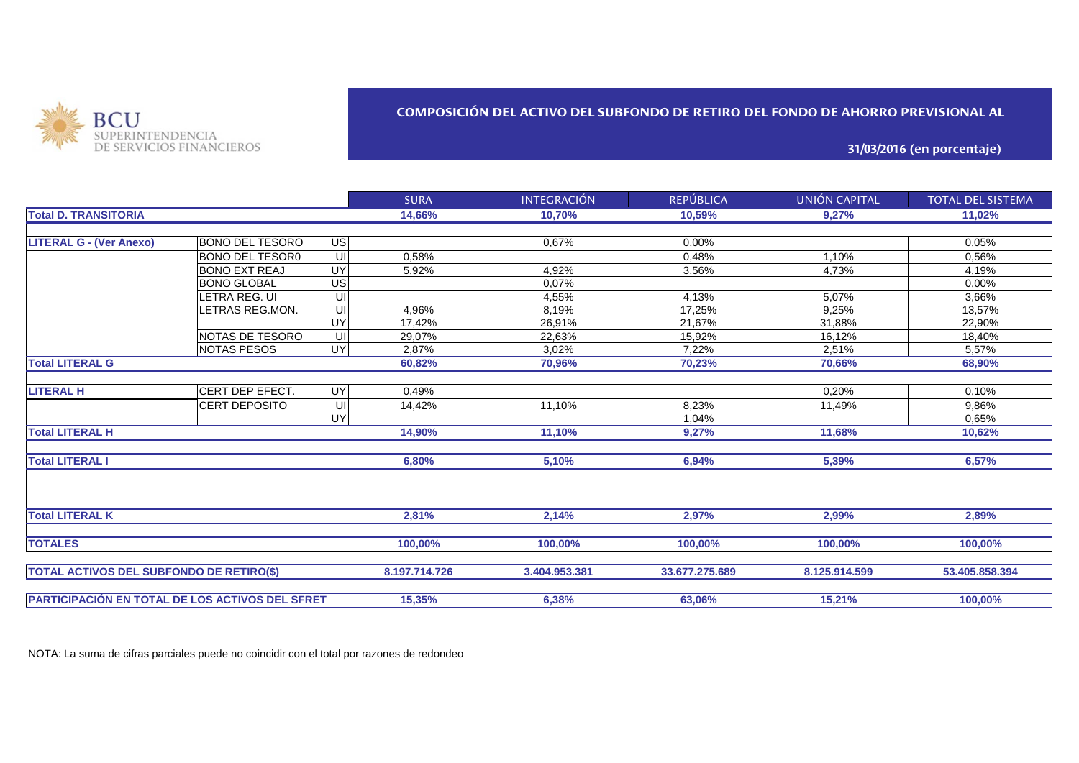

## **COMPOSICIÓN DEL ACTIVO DEL SUBFONDO DE RETIRO DEL FONDO DE AHORRO PREVISIONAL AL**

**31/03/2016 (en porcentaje)**

|                                                 |                        |           | <b>SURA</b>   | <b>INTEGRACIÓN</b> | <b>REPÚBLICA</b> | UNIÓN CAPITAL | <b>TOTAL DEL SISTEMA</b> |
|-------------------------------------------------|------------------------|-----------|---------------|--------------------|------------------|---------------|--------------------------|
| <b>Total D. TRANSITORIA</b>                     |                        |           | 14,66%        | 10,70%             | 10,59%           | 9,27%         | 11,02%                   |
|                                                 |                        |           |               |                    |                  |               |                          |
| <b>LITERAL G - (Ver Anexo)</b>                  | <b>BONO DEL TESORO</b> | <b>US</b> |               | 0.67%              | 0,00%            |               | 0.05%                    |
|                                                 | <b>BONO DEL TESOR0</b> | UI        | 0,58%         |                    | 0,48%            | 1,10%         | 0,56%                    |
|                                                 | <b>BONO EXT REAJ</b>   | UY        | 5,92%         | 4.92%              | 3.56%            | 4,73%         | 4,19%                    |
|                                                 | <b>BONO GLOBAL</b>     | US        |               | 0,07%              |                  |               | 0,00%                    |
|                                                 | <b>ETRA REG. UI</b>    | UI        |               | 4,55%              | 4,13%            | 5,07%         | 3,66%                    |
|                                                 | LETRAS REG.MON.        | UI        | 4,96%         | 8,19%              | 17,25%           | 9,25%         | 13,57%                   |
|                                                 |                        | UY        | 17,42%        | 26,91%             | 21,67%           | 31,88%        | 22,90%                   |
|                                                 | NOTAS DE TESORO        | UI        | 29.07%        | 22.63%             | 15.92%           | 16,12%        | 18,40%                   |
|                                                 | <b>NOTAS PESOS</b>     | UY        | 2,87%         | 3.02%              | 7.22%            | 2,51%         | 5,57%                    |
| <b>Total LITERAL G</b>                          |                        |           | 60,82%        | 70,96%             | 70,23%           | 70,66%        | 68,90%                   |
|                                                 |                        |           |               |                    |                  |               |                          |
| <b>LITERAL H</b>                                | <b>CERT DEP EFECT.</b> | UY        | 0,49%         |                    |                  | 0,20%         | 0.10%                    |
|                                                 | <b>CERT DEPOSITO</b>   | UI        | 14,42%        | 11.10%             | 8,23%            | 11,49%        | 9,86%                    |
|                                                 |                        | UY        |               |                    | 1,04%            |               | 0,65%                    |
| <b>Total LITERAL H</b>                          |                        |           | 14,90%        | 11,10%             | 9,27%            | 11,68%        | 10,62%                   |
| <b>Total LITERAL I</b>                          |                        |           | 6,80%         | 5,10%              | 6,94%            | 5,39%         | 6,57%                    |
|                                                 |                        |           |               |                    |                  |               |                          |
| <b>Total LITERAL K</b>                          |                        |           | 2,81%         | 2,14%              | 2,97%            | 2,99%         | 2,89%                    |
| <b>TOTALES</b>                                  |                        |           | 100,00%       | 100,00%            | 100,00%          | 100,00%       | 100,00%                  |
|                                                 |                        |           |               |                    |                  |               |                          |
| <b>TOTAL ACTIVOS DEL SUBFONDO DE RETIRO(\$)</b> |                        |           | 8.197.714.726 | 3.404.953.381      | 33.677.275.689   | 8.125.914.599 | 53.405.858.394           |
|                                                 |                        |           | 15,35%        | 6,38%              | 63,06%           | 15,21%        | 100,00%                  |
| PARTICIPACIÓN EN TOTAL DE LOS ACTIVOS DEL SFRET |                        |           |               |                    |                  |               |                          |